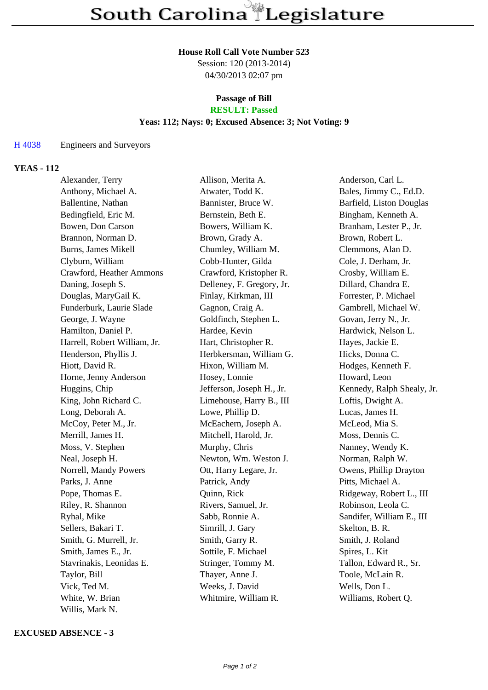#### **House Roll Call Vote Number 523**

Session: 120 (2013-2014) 04/30/2013 02:07 pm

### **Passage of Bill RESULT: Passed**

## **Yeas: 112; Nays: 0; Excused Absence: 3; Not Voting: 9**

## H 4038 Engineers and Surveyors

# **YEAS - 112**

| Alexander, Terry             | Allison, Merita A.        | Anderson, Carl L.          |
|------------------------------|---------------------------|----------------------------|
| Anthony, Michael A.          | Atwater, Todd K.          | Bales, Jimmy C., Ed.D.     |
| Ballentine, Nathan           | Bannister, Bruce W.       | Barfield, Liston Douglas   |
| Bedingfield, Eric M.         | Bernstein, Beth E.        | Bingham, Kenneth A.        |
| Bowen, Don Carson            | Bowers, William K.        | Branham, Lester P., Jr.    |
| Brannon, Norman D.           | Brown, Grady A.           | Brown, Robert L.           |
| Burns, James Mikell          | Chumley, William M.       | Clemmons, Alan D.          |
| Clyburn, William             | Cobb-Hunter, Gilda        | Cole, J. Derham, Jr.       |
| Crawford, Heather Ammons     | Crawford, Kristopher R.   | Crosby, William E.         |
| Daning, Joseph S.            | Delleney, F. Gregory, Jr. | Dillard, Chandra E.        |
| Douglas, MaryGail K.         | Finlay, Kirkman, III      | Forrester, P. Michael      |
| Funderburk, Laurie Slade     | Gagnon, Craig A.          | Gambrell, Michael W.       |
| George, J. Wayne             | Goldfinch, Stephen L.     | Govan, Jerry N., Jr.       |
| Hamilton, Daniel P.          | Hardee, Kevin             | Hardwick, Nelson L.        |
| Harrell, Robert William, Jr. | Hart, Christopher R.      | Hayes, Jackie E.           |
| Henderson, Phyllis J.        | Herbkersman, William G.   | Hicks, Donna C.            |
| Hiott, David R.              | Hixon, William M.         | Hodges, Kenneth F.         |
| Horne, Jenny Anderson        | Hosey, Lonnie             | Howard, Leon               |
| Huggins, Chip                | Jefferson, Joseph H., Jr. | Kennedy, Ralph Shealy, Jr. |
| King, John Richard C.        | Limehouse, Harry B., III  | Loftis, Dwight A.          |
| Long, Deborah A.             | Lowe, Phillip D.          | Lucas, James H.            |
| McCoy, Peter M., Jr.         | McEachern, Joseph A.      | McLeod, Mia S.             |
| Merrill, James H.            | Mitchell, Harold, Jr.     | Moss, Dennis C.            |
| Moss, V. Stephen             | Murphy, Chris             | Nanney, Wendy K.           |
| Neal, Joseph H.              | Newton, Wm. Weston J.     | Norman, Ralph W.           |
| Norrell, Mandy Powers        | Ott, Harry Legare, Jr.    | Owens, Phillip Drayton     |
| Parks, J. Anne               | Patrick, Andy             | Pitts, Michael A.          |
| Pope, Thomas E.              | Quinn, Rick               | Ridgeway, Robert L., III   |
| Riley, R. Shannon            | Rivers, Samuel, Jr.       | Robinson, Leola C.         |
| Ryhal, Mike                  | Sabb, Ronnie A.           | Sandifer, William E., III  |
| Sellers, Bakari T.           | Simrill, J. Gary          | Skelton, B. R.             |
| Smith, G. Murrell, Jr.       | Smith, Garry R.           | Smith, J. Roland           |
| Smith, James E., Jr.         | Sottile, F. Michael       | Spires, L. Kit             |
| Stavrinakis, Leonidas E.     | Stringer, Tommy M.        | Tallon, Edward R., Sr.     |
| Taylor, Bill                 | Thayer, Anne J.           | Toole, McLain R.           |
| Vick, Ted M.                 | Weeks, J. David           | Wells, Don L.              |
| White, W. Brian              | Whitmire, William R.      | Williams, Robert Q.        |
| Willis, Mark N.              |                           |                            |

## **EXCUSED ABSENCE - 3**